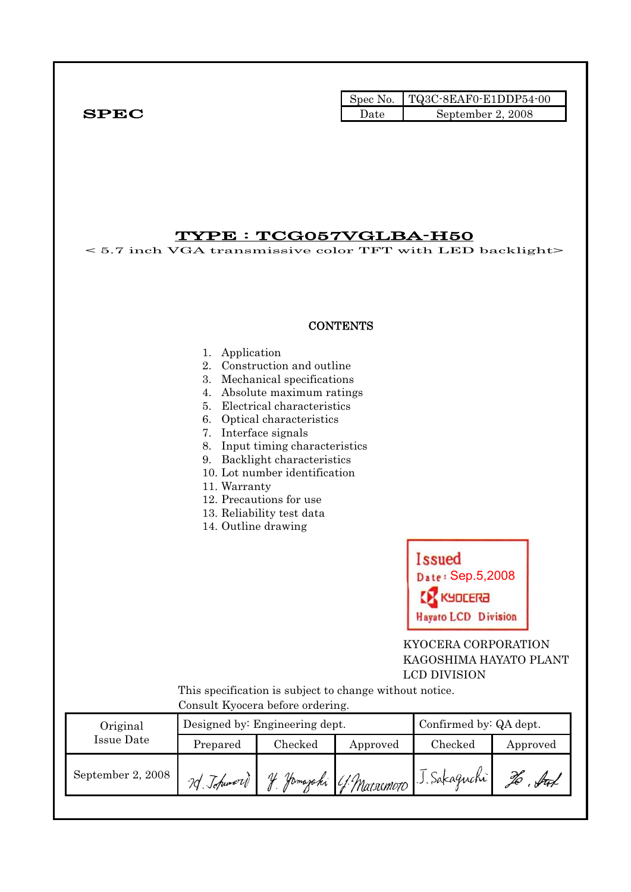Spec No. TQ3C-8EAF0-E1DDP54-00 SPEC Date Beptember 2, 2008

## TYPE : TCG057VGLBA-H50

< 5.7 inch VGA transmissive color TFT with LED backlight>

#### **CONTENTS**

#### 1. Application

- 2. Construction and outline
- 3. Mechanical specifications
- 4. Absolute maximum ratings
- 5. Electrical characteristics
- 6. Optical characteristics
- 7. Interface signals
- 8. Input timing characteristics
- 9. Backlight characteristics
- 10. Lot number identification
- 11. Warranty
- 12. Precautions for use
- 13. Reliability test data
- 14. Outline drawing



 KYOCERA CORPORATION KAGOSHIMA HAYATO PLANT LCD DIVISION

 This specification is subject to change without notice. Consult Kyocera before ordering.

| $0.0110$ and $0.1110$ and $0.0101$ and $0.0111$ and $0.0111$ |            |                                |                        |                                         |          |  |  |  |
|--------------------------------------------------------------|------------|--------------------------------|------------------------|-----------------------------------------|----------|--|--|--|
| Original<br>Issue Date                                       |            | Designed by: Engineering dept. | Confirmed by: QA dept. |                                         |          |  |  |  |
|                                                              | Prepared   | Checked<br>Approved            |                        | Checked                                 | Approved |  |  |  |
| September 2, 2008                                            | 7d Johnson |                                |                        | y Jamazaki (f. Matriemoto J. Sakaguchi) |          |  |  |  |
|                                                              |            |                                |                        |                                         |          |  |  |  |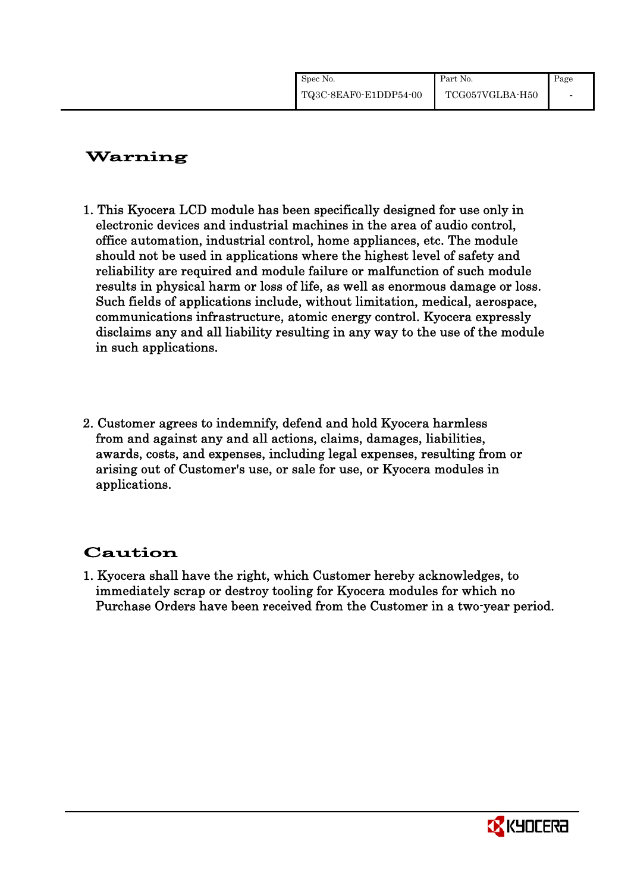| Spec No.              | Part No.        | Page |
|-----------------------|-----------------|------|
| TQ3C-8EAF0-E1DDP54-00 | TCG057VGLBA-H50 |      |

# Warning

- 1. This Kyocera LCD module has been specifically designed for use only in electronic devices and industrial machines in the area of audio control, office automation, industrial control, home appliances, etc. The module should not be used in applications where the highest level of safety and reliability are required and module failure or malfunction of such module results in physical harm or loss of life, as well as enormous damage or loss. Such fields of applications include, without limitation, medical, aerospace, communications infrastructure, atomic energy control. Kyocera expressly disclaims any and all liability resulting in any way to the use of the module in such applications.
- 2. Customer agrees to indemnify, defend and hold Kyocera harmless from and against any and all actions, claims, damages, liabilities, awards, costs, and expenses, including legal expenses, resulting from or arising out of Customer's use, or sale for use, or Kyocera modules in applications.

# Caution

1. Kyocera shall have the right, which Customer hereby acknowledges, to immediately scrap or destroy tooling for Kyocera modules for which no Purchase Orders have been received from the Customer in a two-year period.

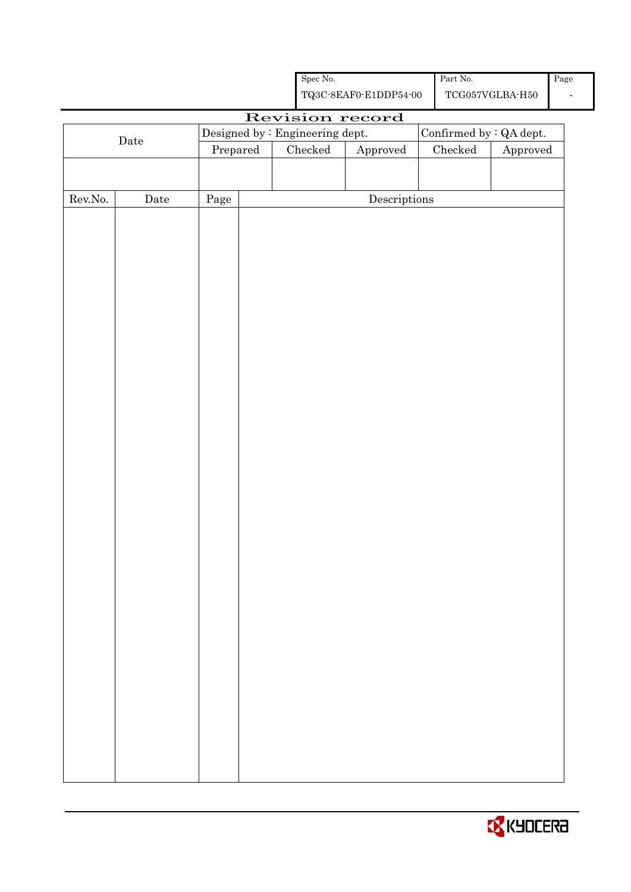|         |              |                                 | $\operatorname{Part}$ No.<br>Spec No.<br>${\bf TQ3C\text{-}SEAF0\text{-}E1DDP54\text{-}00}$<br>$\operatorname{TCG057VGLBA\text{-}H50}$ |                 |                                      |               | Page<br>$\blacksquare$  |  |
|---------|--------------|---------------------------------|----------------------------------------------------------------------------------------------------------------------------------------|-----------------|--------------------------------------|---------------|-------------------------|--|
|         |              |                                 |                                                                                                                                        |                 |                                      |               |                         |  |
|         |              | Designed by : Engineering dept. |                                                                                                                                        |                 | Revision record                      |               | Confirmed by : QA dept. |  |
|         | $\rm{Date}$  | Prepared                        |                                                                                                                                        | ${\it Checked}$ | Approved                             | $\rm Checked$ | Approved                |  |
|         |              |                                 |                                                                                                                                        |                 |                                      |               |                         |  |
|         |              |                                 |                                                                                                                                        |                 |                                      |               |                         |  |
| Rev.No. | ${\it Date}$ | Page                            |                                                                                                                                        |                 | $\label{eq:2} \textbf{Descriptions}$ |               |                         |  |
|         |              |                                 |                                                                                                                                        |                 |                                      |               |                         |  |
|         |              |                                 |                                                                                                                                        |                 |                                      |               |                         |  |
|         |              |                                 |                                                                                                                                        |                 |                                      |               |                         |  |
|         |              |                                 |                                                                                                                                        |                 |                                      |               |                         |  |
|         |              |                                 |                                                                                                                                        |                 |                                      |               |                         |  |
|         |              |                                 |                                                                                                                                        |                 |                                      |               |                         |  |
|         |              |                                 |                                                                                                                                        |                 |                                      |               |                         |  |
|         |              |                                 |                                                                                                                                        |                 |                                      |               |                         |  |
|         |              |                                 |                                                                                                                                        |                 |                                      |               |                         |  |
|         |              |                                 |                                                                                                                                        |                 |                                      |               |                         |  |
|         |              |                                 |                                                                                                                                        |                 |                                      |               |                         |  |
|         |              |                                 |                                                                                                                                        |                 |                                      |               |                         |  |
|         |              |                                 |                                                                                                                                        |                 |                                      |               |                         |  |
|         |              |                                 |                                                                                                                                        |                 |                                      |               |                         |  |
|         |              |                                 |                                                                                                                                        |                 |                                      |               |                         |  |
|         |              |                                 |                                                                                                                                        |                 |                                      |               |                         |  |
|         |              |                                 |                                                                                                                                        |                 |                                      |               |                         |  |
|         |              |                                 |                                                                                                                                        |                 |                                      |               |                         |  |
|         |              |                                 |                                                                                                                                        |                 |                                      |               |                         |  |
|         |              |                                 |                                                                                                                                        |                 |                                      |               |                         |  |
|         |              |                                 |                                                                                                                                        |                 |                                      |               |                         |  |
|         |              |                                 |                                                                                                                                        |                 |                                      |               |                         |  |
|         |              |                                 |                                                                                                                                        |                 |                                      |               |                         |  |
|         |              |                                 |                                                                                                                                        |                 |                                      |               |                         |  |
|         |              |                                 |                                                                                                                                        |                 |                                      |               |                         |  |
|         |              |                                 |                                                                                                                                        |                 |                                      |               |                         |  |
|         |              |                                 |                                                                                                                                        |                 |                                      |               |                         |  |
|         |              |                                 |                                                                                                                                        |                 |                                      |               |                         |  |
|         |              |                                 |                                                                                                                                        |                 |                                      |               |                         |  |
|         |              |                                 |                                                                                                                                        |                 |                                      |               |                         |  |
|         |              |                                 |                                                                                                                                        |                 |                                      |               |                         |  |
|         |              |                                 |                                                                                                                                        |                 |                                      |               |                         |  |

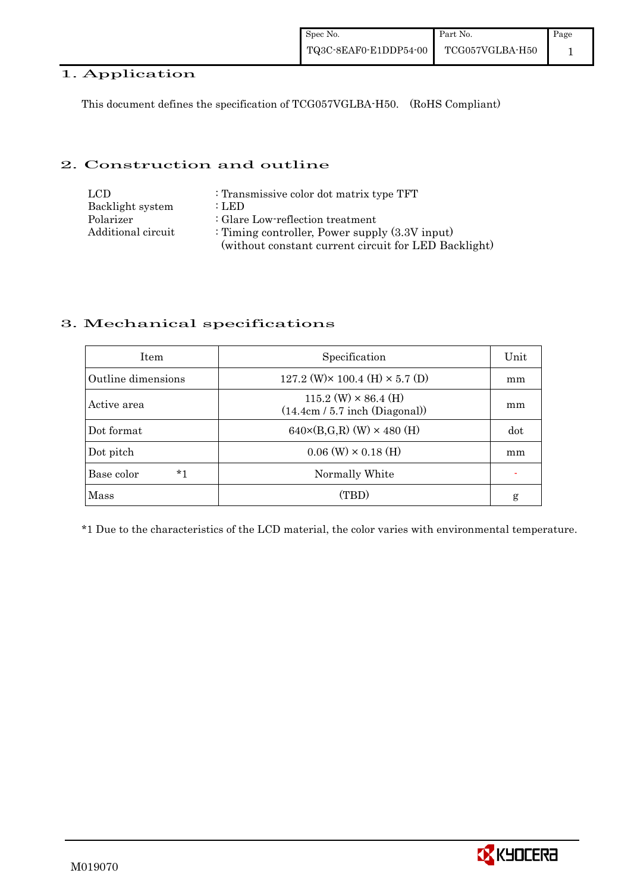### 1. Application

This document defines the specification of TCG057VGLBA-H50. (RoHS Compliant)

### 2. Construction and outline

| LCD.               | : Transmissive color dot matrix type TFT             |
|--------------------|------------------------------------------------------|
| Backlight system   | : LED                                                |
| Polarizer          | : Glare Low-reflection treatment                     |
| Additional circuit | : Timing controller, Power supply $(3.3V)$ input)    |
|                    | (without constant current circuit for LED Backlight) |

## 3. Mechanical specifications

| <b>Item</b>        | Specification                                                   | Unit |
|--------------------|-----------------------------------------------------------------|------|
| Outline dimensions | 127.2 (W) $\times$ 100.4 (H) $\times$ 5.7 (D)                   | mm   |
| Active area        | $115.2$ (W) $\times$ 86.4 (H)<br>(14.4cm / 5.7 inch (Diagonal)) | mm   |
| Dot format         | $640 \times (B,G,R)$ (W) $\times 480$ (H)                       | dot  |
| Dot pitch          | $0.06$ (W) $\times$ 0.18 (H)                                    | mm   |
| $*1$<br>Base color | Normally White                                                  |      |
| Mass               | (TBD)                                                           | g    |

\*1 Due to the characteristics of the LCD material, the color varies with environmental temperature.

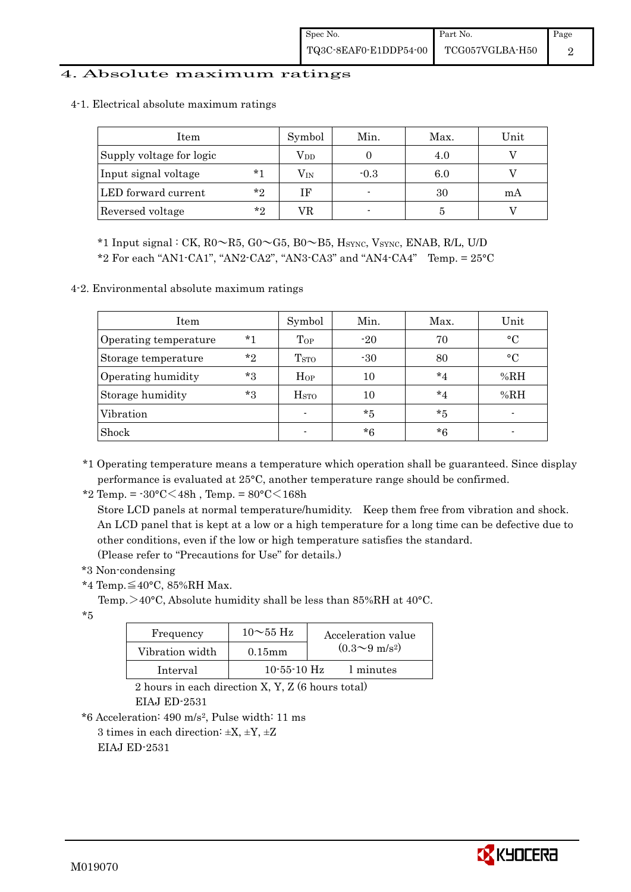#### 4. Absolute maximum ratings

| Item                     |              | Symbol           | Min.   | Max. | Unit |
|--------------------------|--------------|------------------|--------|------|------|
| Supply voltage for logic | $\rm V_{DD}$ |                  | 4.0    |      |      |
| Input signal voltage     | $*1$         | $\rm V_{\rm IN}$ | $-0.3$ | 6.0  |      |
| LED forward current      | $*_{2}$      | ΙF               |        | 30   | mA   |
| Reversed voltage         | $*_{2}$      | VR               |        |      |      |

4-1. Electrical absolute maximum ratings

\*1 Input signal : CK,  $R0 \sim R5$ ,  $G0 \sim G5$ ,  $B0 \sim B5$ ,  $H<sub>SYNC</sub>$ ,  $V<sub>SYNC</sub>$ ,  $ENAB$ ,  $R/L$ ,  $U/D$ 

 $*2$  For each "AN1-CA1", "AN2-CA2", "AN3-CA3" and "AN4-CA4" Temp. =  $25^{\circ}$ C

4-2. Environmental absolute maximum ratings

| Item                  |       | Symbol                  | Min.    | Max.    | Unit      |
|-----------------------|-------|-------------------------|---------|---------|-----------|
| Operating temperature | $*1$  | Top                     | $-20$   | 70      | $\circ$ C |
| Storage temperature   | $*$ ? | T <sub>STO</sub>        | $-30$   | 80      | $\circ$ C |
| Operating humidity    | $*3$  | Hop                     | $10\,$  | $*_{4}$ | %RH       |
| Storage humidity      | $*3$  | <b>H</b> <sub>sto</sub> | 10      | $*_{4}$ | %RH       |
| Vibration             |       | $\blacksquare$          | $*_{5}$ | $*5$    |           |
| Shock                 |       |                         | $*6$    | $*6$    |           |

\*1 Operating temperature means a temperature which operation shall be guaranteed. Since display performance is evaluated at 25°C, another temperature range should be confirmed.

\*2 Temp. =  $-30^{\circ}$ C $<$ 48h, Temp. =  $80^{\circ}$ C $<$ 168h

 Store LCD panels at normal temperature/humidity. Keep them free from vibration and shock. An LCD panel that is kept at a low or a high temperature for a long time can be defective due to other conditions, even if the low or high temperature satisfies the standard. (Please refer to "Precautions for Use" for details.)

\*3 Non-condensing

\*4 Temp.≦40°C, 85%RH Max.

Temp.  $>40^{\circ}$ C, Absolute humidity shall be less than 85%RH at 40 $^{\circ}$ C.

\*5

| Frequency       | $10\sim$ 55 Hz    | Acceleration value           |
|-----------------|-------------------|------------------------------|
| Vibration width | $0.15$ mm         | $(0.3 \sim 9 \text{ m/s}^2)$ |
| Interval        | $10 - 55 - 10$ Hz | 1 minutes                    |

 2 hours in each direction X, Y, Z (6 hours total) EIAJ ED-2531

\*6 Acceleration: 490 m/s2, Pulse width: 11 ms

3 times in each direction:  $\pm X$ ,  $\pm Y$ ,  $\pm Z$ 

EIAJ ED-2531

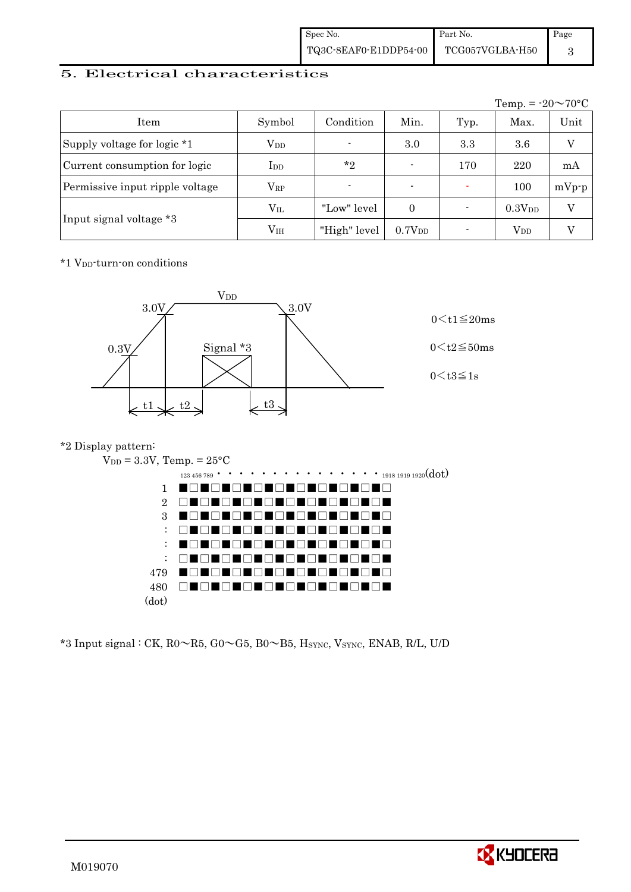| Spec No.              | Part No.                     | Page |
|-----------------------|------------------------------|------|
| TQ3C-8EAF0-E1DDP54-00 | $\rm TCG057VGLBA\text{-}H50$ |      |

### 5. Electrical characteristics

|                                 |               |                |                          |      | Temp. = $-20 \sim 70$ °C |         |
|---------------------------------|---------------|----------------|--------------------------|------|--------------------------|---------|
| Item                            | Symbol        | Condition      | Min.                     | Typ. | Max.                     | Unit    |
| Supply voltage for logic *1     | $\rm V_{DD}$  | $\blacksquare$ | 3.0                      | 3.3  | 3.6                      | V       |
| Current consumption for logic   | $_{\rm{LDD}}$ | $*_{2}$        | $\blacksquare$           | 170  | 220                      | mA      |
| Permissive input ripple voltage | $\rm V_{RP}$  | $\blacksquare$ | $\overline{\phantom{0}}$ |      | 100                      | $mVp-p$ |
|                                 | $\rm V_{II}$  | "Low" level    | $\Omega$                 |      | 0.3V <sub>DD</sub>       | V       |
| Input signal voltage *3         | $\rm V_{IH}$  | "High" level   | 0.7V <sub>DD</sub>       |      | $\rm V_{DD}$             |         |

\*1 VDD-turn-on conditions



### \*2 Display pattern:



 $*3$  Input signal : CK, R0 $\sim$ R5, G0 $\sim$ G5, B0 $\sim$ B5, H<sub>SYNC</sub>, V<sub>SYNC</sub>, ENAB, R/L, U/D

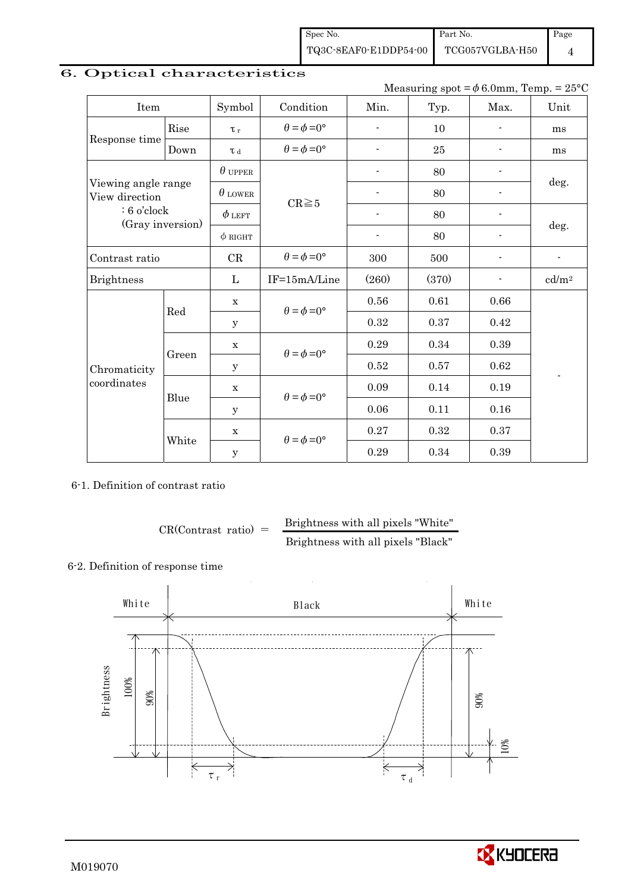Spec No. TQ3C-8EAF0-E1DDP54-00 Part No. TCG057VGLBA-H50

Page 4

## 6. Optical characteristics

Measuring spot =  $\phi$  6.0mm, Temp. = 25°C

| Item                                  |       | Symbol         | Condition                   | Min.                     | Typ.  | Max.                     | Unit              |
|---------------------------------------|-------|----------------|-----------------------------|--------------------------|-------|--------------------------|-------------------|
|                                       | Rise  | $\tau_r$       | $\theta = \phi = 0^{\circ}$ | ÷                        | 10    | $\blacksquare$           | ms                |
| Response time                         | Down  | $\tau$ d       | $\theta = \phi = 0^{\circ}$ | $\overline{a}$           | 25    |                          | ms                |
|                                       |       | $\theta$ upper |                             |                          | 80    |                          |                   |
| Viewing angle range<br>View direction |       | $\theta$ lower | $CR \ge 5$                  |                          | 80    |                          | deg.              |
| $: 6$ o'clock                         |       | $\phi$ left    |                             | $\overline{a}$           | 80    |                          |                   |
| (Gray inversion)                      |       | $\phi$ RIGHT   |                             | $\overline{\phantom{a}}$ | 80    | $\overline{\phantom{a}}$ | deg.              |
| Contrast ratio                        |       | CR             | $\theta = \phi = 0^{\circ}$ | 300                      | 500   |                          | $\blacksquare$    |
| <b>Brightness</b>                     |       | $\mathbf{L}$   | IF=15mA/Line                | (260)                    | (370) |                          | cd/m <sup>2</sup> |
|                                       | Red   | $\mathbf X$    | $\theta = \phi = 0^{\circ}$ | 0.56                     | 0.61  | 0.66                     |                   |
|                                       |       | y              |                             | 0.32                     | 0.37  | 0.42                     |                   |
|                                       |       | $\mathbf X$    | $\theta = \phi = 0^{\circ}$ | 0.29                     | 0.34  | 0.39                     |                   |
| Chromaticity                          | Green | $\mathbf y$    |                             | 0.52                     | 0.57  | 0.62                     | ٠                 |
| coordinates                           | Blue  | X              | $\theta = \phi = 0^{\circ}$ | 0.09                     | 0.14  | 0.19                     |                   |
|                                       |       | y              |                             | 0.06                     | 0.11  | 0.16                     |                   |
|                                       |       | $\mathbf X$    |                             | 0.27                     | 0.32  | 0.37                     |                   |
|                                       | White | $\mathbf y$    | $\theta = \phi = 0^{\circ}$ | 0.29                     | 0.34  | 0.39                     |                   |

6-1. Definition of contrast ratio

$$
CR(Contrast ratio) = \frac{Brightness with all pixels "White"
$$
  
Brightness with all pixels "Black"

#### 6-2. Definition of response time



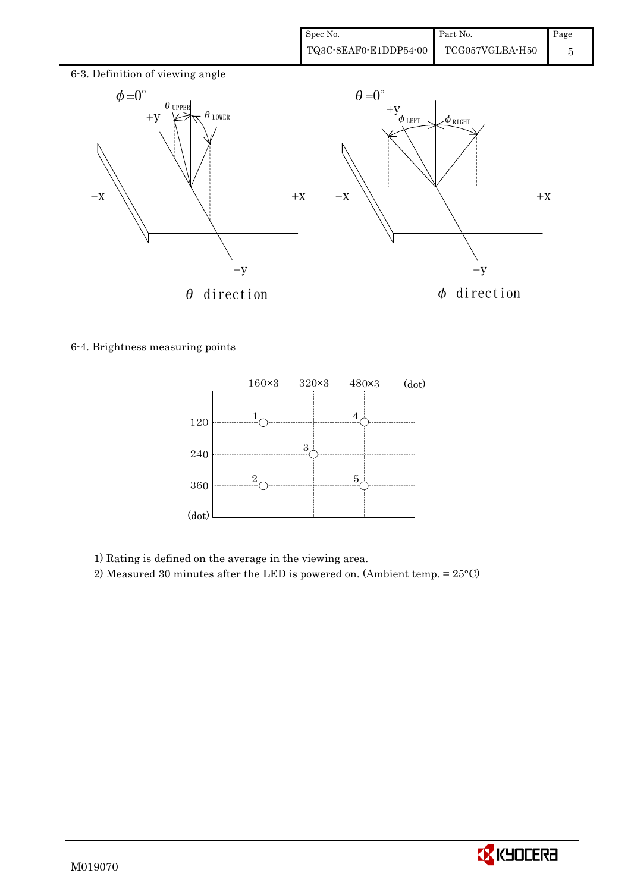

6-4. Brightness measuring points



1) Rating is defined on the average in the viewing area.

2) Measured 30 minutes after the LED is powered on. (Ambient temp. = 25°C)

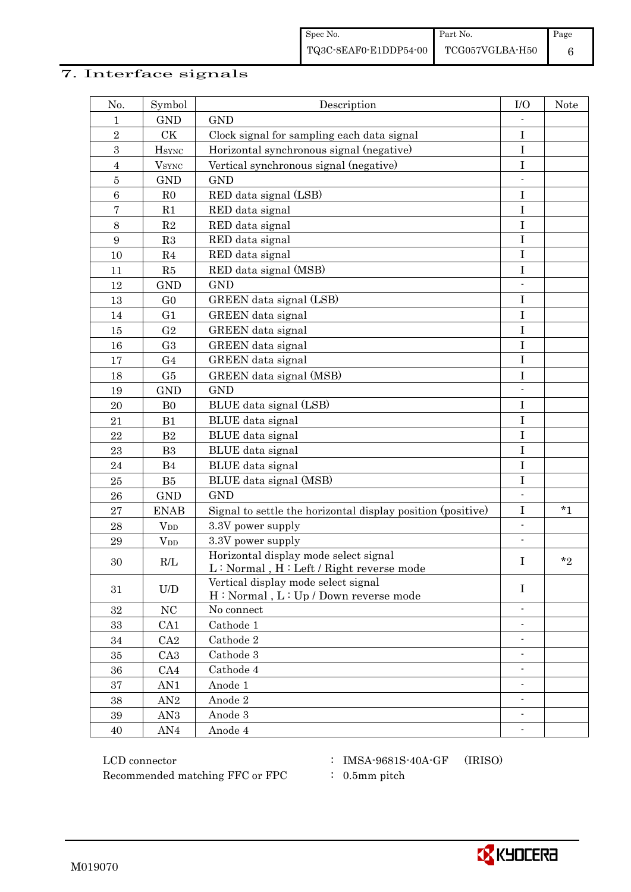# 7. Interface signals

| No.             | Symbol                 | Description                                                                        | I/O                      | Note    |
|-----------------|------------------------|------------------------------------------------------------------------------------|--------------------------|---------|
| 1               | <b>GND</b>             | <b>GND</b>                                                                         |                          |         |
| $\sqrt{2}$      | CK                     | Clock signal for sampling each data signal                                         | $\bf I$                  |         |
| 3               | $H_{\rm SYNC}$         | Horizontal synchronous signal (negative)                                           | $\mathbf I$              |         |
| $\overline{4}$  | $V_{\rm SYNC}$         | Vertical synchronous signal (negative)                                             | I                        |         |
| $\bf 5$         | <b>GND</b>             | <b>GND</b>                                                                         |                          |         |
| $\,6\,$         | R <sub>0</sub>         | RED data signal (LSB)                                                              | I                        |         |
| $\overline{7}$  | R1                     | RED data signal                                                                    | $\bf I$                  |         |
| $8\,$           | R2                     | RED data signal                                                                    | $\rm I$                  |         |
| $9\phantom{.0}$ | R3                     | RED data signal                                                                    | $\mathbf I$              |         |
| 10              | R <sub>4</sub>         | RED data signal                                                                    | Ι                        |         |
| 11              | R5                     | RED data signal (MSB)                                                              | $\mathbf I$              |         |
| 12              | <b>GND</b>             | <b>GND</b>                                                                         |                          |         |
| 13              | G <sub>0</sub>         | GREEN data signal (LSB)                                                            | $\rm I$                  |         |
| 14              | G <sub>1</sub>         | GREEN data signal                                                                  | $\mathbf I$              |         |
| 15              | G <sub>2</sub>         | GREEN data signal                                                                  | Ι                        |         |
| 16              | G <sub>3</sub>         | GREEN data signal                                                                  | $\mathbf I$              |         |
| 17              | G <sub>4</sub>         | GREEN data signal                                                                  | $\bf I$                  |         |
| 18              | G5                     | GREEN data signal (MSB)                                                            | $\bf I$                  |         |
| 19              | <b>GND</b>             | <b>GND</b>                                                                         |                          |         |
| 20              | B <sub>0</sub>         | BLUE data signal (LSB)                                                             | $\mathbf I$              |         |
| 21              | B1                     | BLUE data signal                                                                   | $\mathbf I$              |         |
| 22              | B <sub>2</sub>         | BLUE data signal                                                                   | $\mathbf I$              |         |
| 23              | B <sub>3</sub>         | BLUE data signal                                                                   | $\bf I$                  |         |
| 24              | B4                     | BLUE data signal                                                                   | $\rm I$                  |         |
| 25              | B5                     | BLUE data signal (MSB)                                                             | $\bf I$                  |         |
| 26              | <b>GND</b>             | <b>GND</b>                                                                         |                          |         |
| $\bf 27$        | <b>ENAB</b>            | Signal to settle the horizontal display position (positive)                        | $\mathbf I$              | $*_{1}$ |
| 28              | $V_{DD}$               | 3.3V power supply                                                                  | $\overline{\phantom{0}}$ |         |
| 29              | <b>V</b> <sub>DD</sub> | 3.3V power supply                                                                  | $\overline{\phantom{a}}$ |         |
| 30              | R/L                    | Horizontal display mode select signal<br>$L: Normal, H: Left / Right reverse mode$ | I                        | $*_{2}$ |
| 31              | U/D                    | Vertical display mode select signal<br>H: Normal, L: Up / Down reverse mode        | $\mathbf I$              |         |
| 32              | NC                     | No connect                                                                         |                          |         |
| 33              | CA1                    | Cathode 1                                                                          | $\overline{\phantom{a}}$ |         |
| 34              | CA2                    | Cathode 2                                                                          | $\overline{\phantom{0}}$ |         |
| 35              | CA <sub>3</sub>        | Cathode 3                                                                          |                          |         |
| 36              | CA4                    | Cathode 4                                                                          |                          |         |
| 37              | AN1                    | Anode 1                                                                            |                          |         |
| 38              | AN2                    | Anode 2                                                                            | ۰                        |         |
| $39\,$          | AN3                    | Anode 3                                                                            | $\overline{\phantom{a}}$ |         |
| 40              | AN4                    | Anode 4                                                                            |                          |         |

 LCD connector : IMSA-9681S-40A-GF (IRISO) Recommended matching FFC or FPC  $\qquad$  : 0.5mm pitch

- 
- 

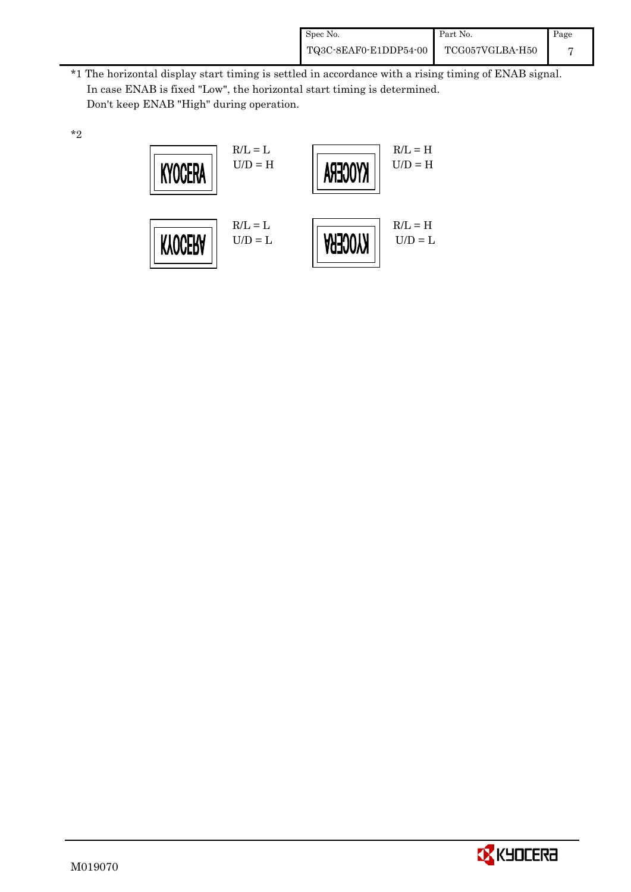| Spec No.              | Part No.        | Page |
|-----------------------|-----------------|------|
| TQ3C-8EAF0-E1DDP54-00 | TCG057VGLBA-H50 |      |

 \*1 The horizontal display start timing is settled in accordance with a rising timing of ENAB signal. In case ENAB is fixed "Low", the horizontal start timing is determined. Don't keep ENAB "High" during operation.





\*2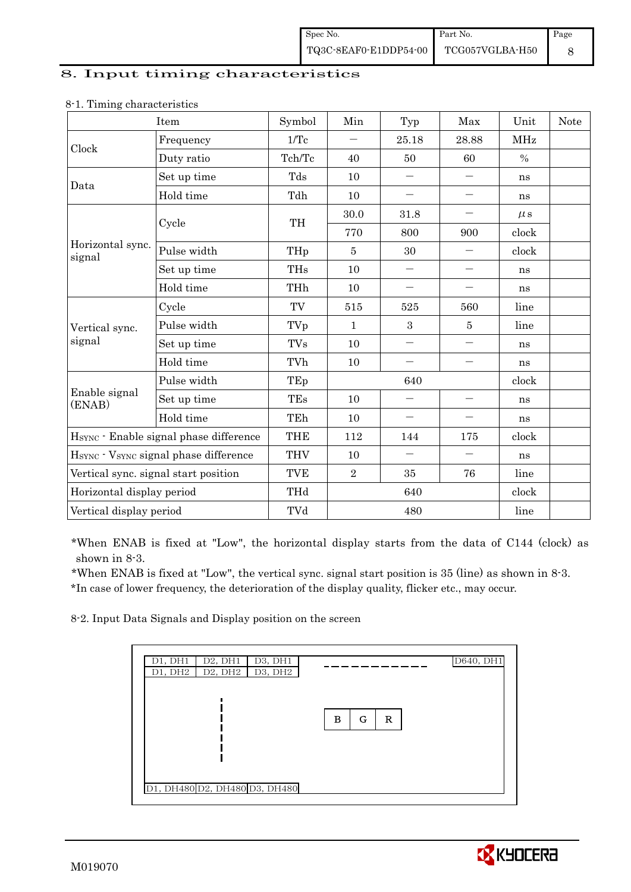#### 8. Input timing characteristics

|                            | Item                                   | Symbol               | Min            | Typ                      | Max                      | Unit     | <b>Note</b> |
|----------------------------|----------------------------------------|----------------------|----------------|--------------------------|--------------------------|----------|-------------|
| Clock                      | Frequency                              | $1/\mathrm{Tc}$      |                | 25.18                    | 28.88                    | MHz      |             |
|                            | Duty ratio                             | Tch/Tc               | 40             | 50                       | 60                       | $\%$     |             |
| Data                       | Set up time                            | Tds                  | 10             | $\qquad \qquad -$        | $\qquad \qquad -$        | ns       |             |
|                            | Hold time                              | Tdh                  | 10             |                          | $\overline{\phantom{0}}$ | ns       |             |
|                            |                                        | TH                   | 30.0           | 31.8                     | $\qquad \qquad -$        | $\mu$ s  |             |
|                            | Cycle                                  |                      | 770            | 800                      | 900                      | clock    |             |
| Horizontal sync.<br>signal | Pulse width                            | THp                  | 5              | 30                       |                          | clock    |             |
|                            | Set up time                            | <b>THs</b>           | 10             |                          | $\qquad \qquad -$        | ns       |             |
|                            | Hold time                              | THh                  | 10             | $\qquad \qquad -$        | $\qquad \qquad -$        | ns       |             |
|                            | Cycle                                  | TV                   | 515            | 525                      | 560                      | line     |             |
| Vertical sync.             | Pulse width                            | TVp                  | $\mathbf 1$    | 3                        | 5                        | line     |             |
| signal                     | Set up time                            | $\operatorname{TVs}$ | 10             | $\overline{\phantom{0}}$ | $\qquad \qquad -$        | ns       |             |
|                            | Hold time                              | TVh                  | 10             |                          | $\overline{\phantom{0}}$ | ns       |             |
|                            | Pulse width                            | TEp                  |                | 640                      |                          | clock    |             |
| Enable signal<br>(ENAB)    | Set up time                            | TEs                  | 10             |                          | $\qquad \qquad -$        | $\rm ns$ |             |
|                            | Hold time                              | TEh                  | 10             |                          | $\qquad \qquad -$        | ns       |             |
|                            | HSYNC · Enable signal phase difference | <b>THE</b>           | 112            | 144                      | 175                      | clock    |             |
|                            | HSYNC · VSYNC signal phase difference  | <b>THV</b>           | 10             |                          | $\qquad \qquad -$        | ns       |             |
|                            | Vertical sync. signal start position   | <b>TVE</b>           | $\overline{2}$ | 35                       | 76                       | line     |             |
| Horizontal display period  |                                        | THd                  |                | 640                      |                          | clock    |             |
| Vertical display period    |                                        | TVd                  |                | 480                      |                          | line     |             |

#### 8-1. Timing characteristics

\*When ENAB is fixed at "Low", the horizontal display starts from the data of C144 (clock) as shown in 8-3.

 \*When ENAB is fixed at "Low", the vertical sync. signal start position is 35 (line) as shown in 8-3. \*In case of lower frequency, the deterioration of the display quality, flicker etc., may occur.

8-2. Input Data Signals and Display position on the screen

| D1, DH1 | D2, DH1 | D3, DH1                       |   |   |   | D640, DH1 |
|---------|---------|-------------------------------|---|---|---|-----------|
| D1, DH2 |         | $D2, DH2$ $D3, DH2$           |   |   |   |           |
|         |         |                               |   |   |   |           |
|         |         |                               | в | G | R |           |
|         |         |                               |   |   |   |           |
|         |         |                               |   |   |   |           |
|         |         |                               |   |   |   |           |
|         |         | D1, DH480 D2, DH480 D3, DH480 |   |   |   |           |
|         |         |                               |   |   |   |           |

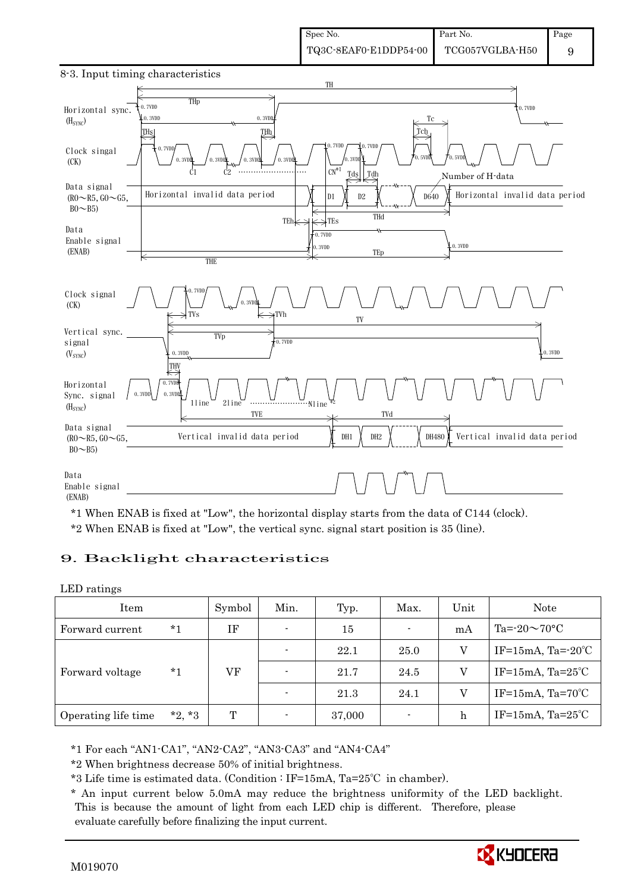

8-3. Input timing characteristics

\*1 When ENAB is fixed at "Low", the horizontal display starts from the data of C144 (clock). \*2 When ENAB is fixed at "Low", the vertical sync. signal start position is 35 (line).

#### 9. Backlight characteristics

LED ratings

| Item                |          | Symbol | Min.                     | Typ.   | Max. | Unit | Note                         |
|---------------------|----------|--------|--------------------------|--------|------|------|------------------------------|
| Forward current     | $*1$     | IF     | $\blacksquare$           | 15     | ۰    | mA   | Ta= $-20 \sim 70$ °C         |
|                     | $*_{1}$  | VF     | $\overline{\phantom{0}}$ | 22.1   | 25.0 | V    | IF=15mA, Ta= $-20^{\circ}$ C |
| Forward voltage     |          |        | $\overline{\phantom{0}}$ | 21.7   | 24.5 | V    | IF=15mA, $Ta=25^{\circ}C$    |
|                     |          |        |                          | 21.3   | 24.1 | V    | IF=15mA, $Ta=70^{\circ}C$    |
| Operating life time | $*2, *3$ | T      |                          | 37,000 | ۰    | h    | IF=15mA, $Ta=25^{\circ}C$    |

\*1 For each "AN1-CA1", "AN2-CA2", "AN3-CA3" and "AN4-CA4"

\*2 When brightness decrease 50% of initial brightness.

\*3 Life time is estimated data. (Condition : IF=15mA, Ta=25℃ in chamber).

 \* An input current below 5.0mA may reduce the brightness uniformity of the LED backlight. This is because the amount of light from each LED chip is different. Therefore, please evaluate carefully before finalizing the input current.

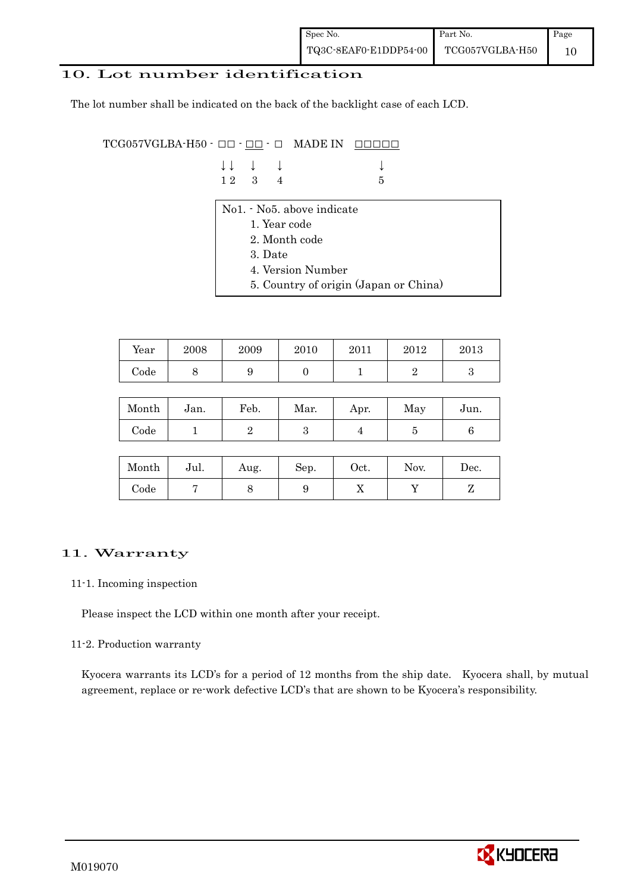### 10. Lot number identification

The lot number shall be indicated on the back of the backlight case of each LCD.

 $TCG057VGLBA-H50 -  $\Box\Box$  -  $\Box\Box$  -  $\Box$  MADE IN  $\Box\Box\Box\Box\Box$$ 

| $\downarrow \downarrow$ $\downarrow$ $\downarrow$ |  |      |
|---------------------------------------------------|--|------|
| 12 3 4                                            |  | $-5$ |

- No1. No5. above indicate
	- 1. Year code
	- 2. Month code
	- 3. Date
	- 4. Version Number
	- 5. Country of origin (Japan or China)

| Year | 2008 | 2009 | 2010 | 2011 | 2012 | 2013 |
|------|------|------|------|------|------|------|
| Code | ◡    |      |      |      |      |      |

| Month | Jan. | Feb. | Mar. | Apr. | May | Jun. |
|-------|------|------|------|------|-----|------|
| Code  |      |      | ౿    |      |     |      |

| Month      | Jul. | Aug. | Sep. | $_{\rm Oct.}$ | Nov. | Dec. |
|------------|------|------|------|---------------|------|------|
| $\rm Code$ |      |      |      | ∡⊾            |      |      |

### 11. Warranty

#### 11-1. Incoming inspection

Please inspect the LCD within one month after your receipt.

#### 11-2. Production warranty

 Kyocera warrants its LCD's for a period of 12 months from the ship date. Kyocera shall, by mutual agreement, replace or re-work defective LCD's that are shown to be Kyocera's responsibility.

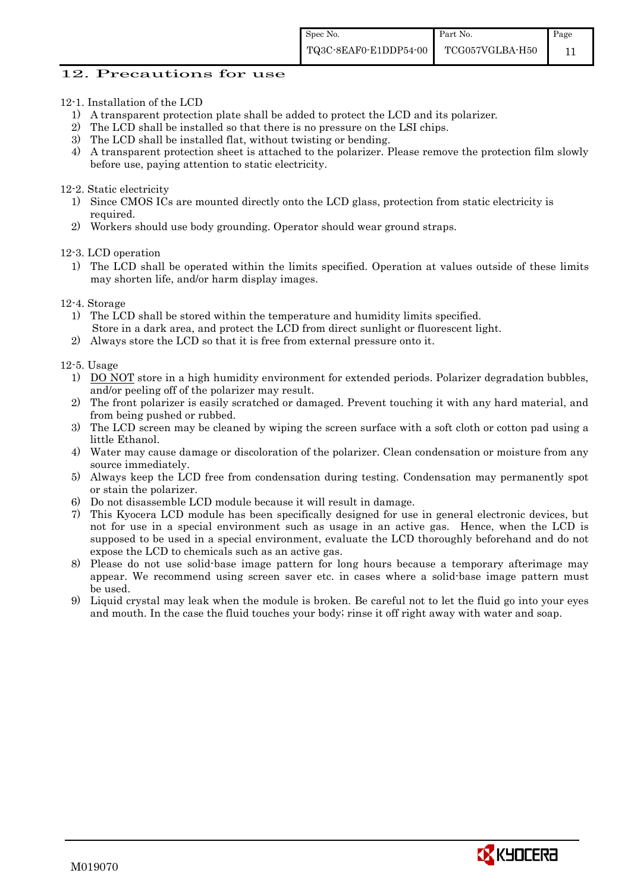#### 12. Precautions for use

- 12-1. Installation of the LCD
	- 1) A transparent protection plate shall be added to protect the LCD and its polarizer.
	- 2) The LCD shall be installed so that there is no pressure on the LSI chips.
	- 3) The LCD shall be installed flat, without twisting or bending.
	- 4) A transparent protection sheet is attached to the polarizer. Please remove the protection film slowly before use, paying attention to static electricity.

#### 12-2. Static electricity

- 1) Since CMOS ICs are mounted directly onto the LCD glass, protection from static electricity is required.
- 2) Workers should use body grounding. Operator should wear ground straps.

12-3. LCD operation

- 1) The LCD shall be operated within the limits specified. Operation at values outside of these limits may shorten life, and/or harm display images.
- 12-4. Storage
	- 1) The LCD shall be stored within the temperature and humidity limits specified. Store in a dark area, and protect the LCD from direct sunlight or fluorescent light.
	- 2) Always store the LCD so that it is free from external pressure onto it.

12-5. Usage

- 1) DO NOT store in a high humidity environment for extended periods. Polarizer degradation bubbles, and/or peeling off of the polarizer may result.
- 2) The front polarizer is easily scratched or damaged. Prevent touching it with any hard material, and from being pushed or rubbed.
- 3) The LCD screen may be cleaned by wiping the screen surface with a soft cloth or cotton pad using a little Ethanol.
- 4) Water may cause damage or discoloration of the polarizer. Clean condensation or moisture from any source immediately.
- 5) Always keep the LCD free from condensation during testing. Condensation may permanently spot or stain the polarizer.
- 6) Do not disassemble LCD module because it will result in damage.
- 7) This Kyocera LCD module has been specifically designed for use in general electronic devices, but not for use in a special environment such as usage in an active gas. Hence, when the LCD is supposed to be used in a special environment, evaluate the LCD thoroughly beforehand and do not expose the LCD to chemicals such as an active gas.
- 8) Please do not use solid-base image pattern for long hours because a temporary afterimage may appear. We recommend using screen saver etc. in cases where a solid-base image pattern must be used.
- 9) Liquid crystal may leak when the module is broken. Be careful not to let the fluid go into your eyes and mouth. In the case the fluid touches your body; rinse it off right away with water and soap.

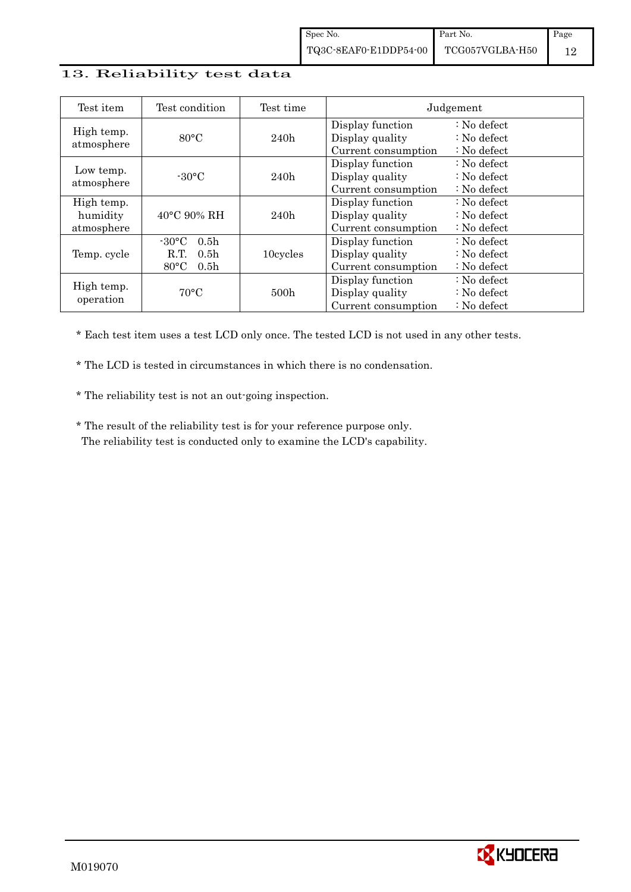#### 13. Reliability test data

| Test item                            | Test condition                                                                                       | Test time        |                                                            | Judgement                                                                  |
|--------------------------------------|------------------------------------------------------------------------------------------------------|------------------|------------------------------------------------------------|----------------------------------------------------------------------------|
| High temp.<br>atmosphere             | $80^{\circ}$ C                                                                                       | 240h             | Display function<br>Display quality<br>Current consumption | $\therefore$ No defect<br>$\therefore$ No defect<br>: No defect            |
| Low temp.<br>atmosphere              | $-30^{\circ}$ C                                                                                      | 240h             | Display function<br>Display quality<br>Current consumption | : No defect<br>$\therefore$ No defect<br>$\therefore$ No defect            |
| High temp.<br>humidity<br>atmosphere | $40^{\circ}$ C 90% RH                                                                                | 240h             | Display function<br>Display quality<br>Current consumption | $\therefore$ No defect<br>$\therefore$ No defect<br>$\therefore$ No defect |
| Temp. cycle                          | 0.5 <sub>h</sub><br>$-30\degree C$<br>R.T.<br>0.5 <sub>h</sub><br>$80^{\circ}$ C<br>0.5 <sub>h</sub> | 10cycles         | Display function<br>Display quality<br>Current consumption | $\therefore$ No defect<br>$\therefore$ No defect<br>$\therefore$ No defect |
| High temp.<br>operation              | $70^{\circ}$ C                                                                                       | 500 <sub>h</sub> | Display function<br>Display quality<br>Current consumption | $\therefore$ No defect<br>: No defect<br>$\therefore$ No defect            |

\* Each test item uses a test LCD only once. The tested LCD is not used in any other tests.

\* The LCD is tested in circumstances in which there is no condensation.

\* The reliability test is not an out-going inspection.

 \* The result of the reliability test is for your reference purpose only. The reliability test is conducted only to examine the LCD's capability.

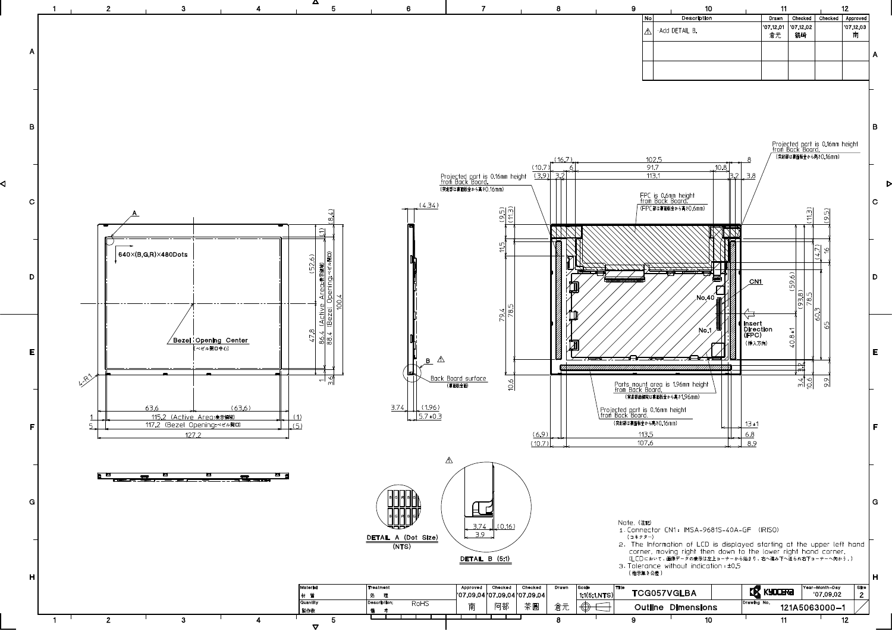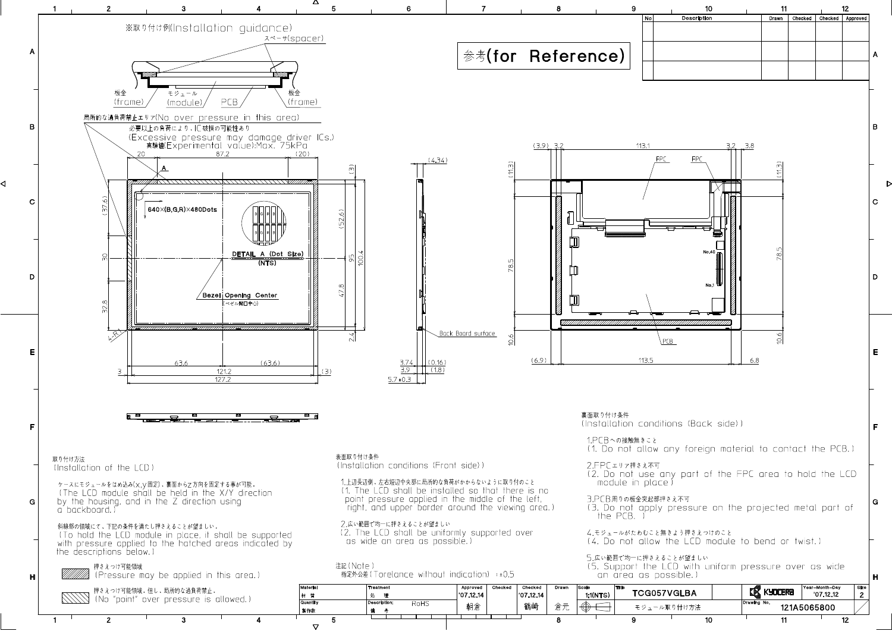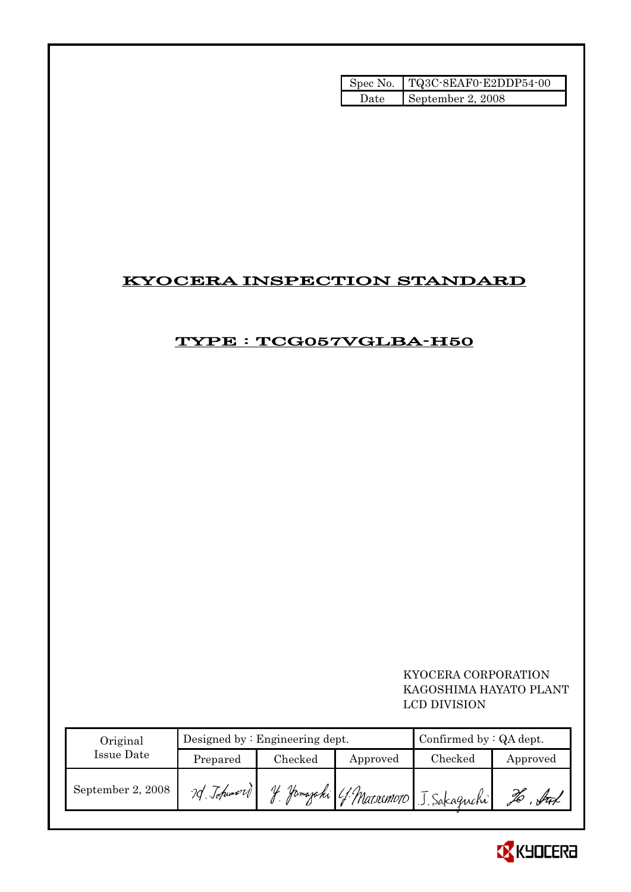|       | Spec No. TQ3C-8EAF0-E2DDP54-00 |
|-------|--------------------------------|
| Date: | September 2, 2008              |

## KYOCERA INSPECTION STANDARD

## TYPE : TCG057VGLBA-H50

 KYOCERA CORPORATION KAGOSHIMA HAYATO PLANT LCD DIVISION

| Original          |            | Designed by $:$ Engineering dept. | Confirmed by $:QA$ dept. |                                            |          |
|-------------------|------------|-----------------------------------|--------------------------|--------------------------------------------|----------|
| Issue Date        | Prepared   | $\rm Checked$                     | Approved                 | Checked                                    | Approved |
| September 2, 2008 | 70 Johnson |                                   |                          | 1 H. Homagahi (f. Matoremoto) J. Sakaguchi | ful      |

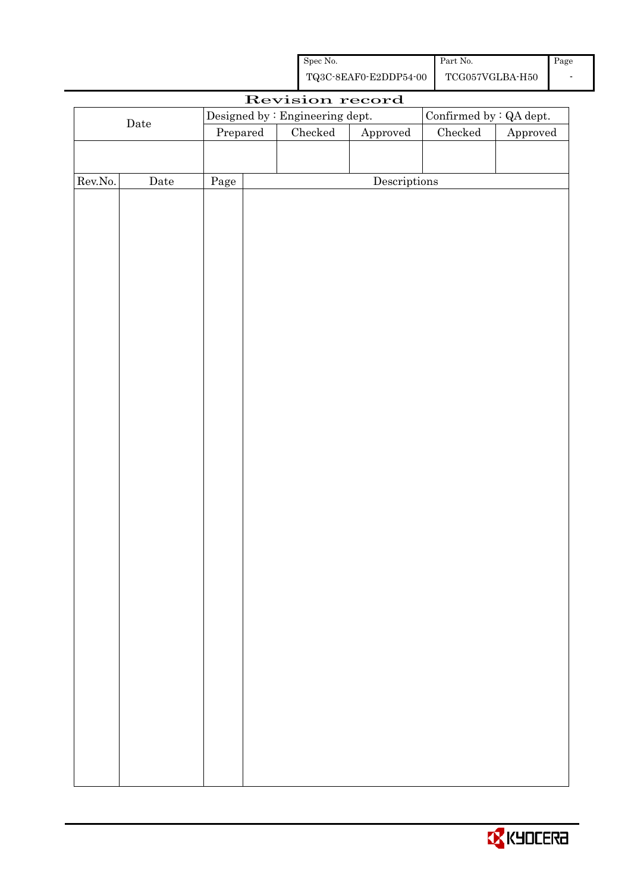| Spec No.              | Part No.        | Page |
|-----------------------|-----------------|------|
| TQ3C-8EAF0-E2DDP54-00 | TCG057VGLBA-H50 |      |

|             |                      |          |  | Revision record                 |              |                         |          |
|-------------|----------------------|----------|--|---------------------------------|--------------|-------------------------|----------|
|             |                      |          |  | Designed by : Engineering dept. |              | Confirmed by : QA dept. |          |
| $\rm{Date}$ |                      | Prepared |  | $\rm Checked$                   | Approved     | $\rm Checked$           | Approved |
|             |                      |          |  |                                 |              |                         |          |
|             |                      |          |  |                                 |              |                         |          |
| Rev.No.     | $\rm{\textbf{Date}}$ | Page     |  |                                 | Descriptions |                         |          |
|             |                      |          |  |                                 |              |                         |          |
|             |                      |          |  |                                 |              |                         |          |
|             |                      |          |  |                                 |              |                         |          |
|             |                      |          |  |                                 |              |                         |          |
|             |                      |          |  |                                 |              |                         |          |
|             |                      |          |  |                                 |              |                         |          |
|             |                      |          |  |                                 |              |                         |          |
|             |                      |          |  |                                 |              |                         |          |
|             |                      |          |  |                                 |              |                         |          |
|             |                      |          |  |                                 |              |                         |          |
|             |                      |          |  |                                 |              |                         |          |
|             |                      |          |  |                                 |              |                         |          |
|             |                      |          |  |                                 |              |                         |          |
|             |                      |          |  |                                 |              |                         |          |
|             |                      |          |  |                                 |              |                         |          |
|             |                      |          |  |                                 |              |                         |          |
|             |                      |          |  |                                 |              |                         |          |
|             |                      |          |  |                                 |              |                         |          |
|             |                      |          |  |                                 |              |                         |          |
|             |                      |          |  |                                 |              |                         |          |
|             |                      |          |  |                                 |              |                         |          |
|             |                      |          |  |                                 |              |                         |          |
|             |                      |          |  |                                 |              |                         |          |
|             |                      |          |  |                                 |              |                         |          |
|             |                      |          |  |                                 |              |                         |          |
|             |                      |          |  |                                 |              |                         |          |
|             |                      |          |  |                                 |              |                         |          |
|             |                      |          |  |                                 |              |                         |          |
|             |                      |          |  |                                 |              |                         |          |
|             |                      |          |  |                                 |              |                         |          |
|             |                      |          |  |                                 |              |                         |          |
|             |                      |          |  |                                 |              |                         |          |
|             |                      |          |  |                                 |              |                         |          |
|             |                      |          |  |                                 |              |                         |          |
|             |                      |          |  |                                 |              |                         |          |

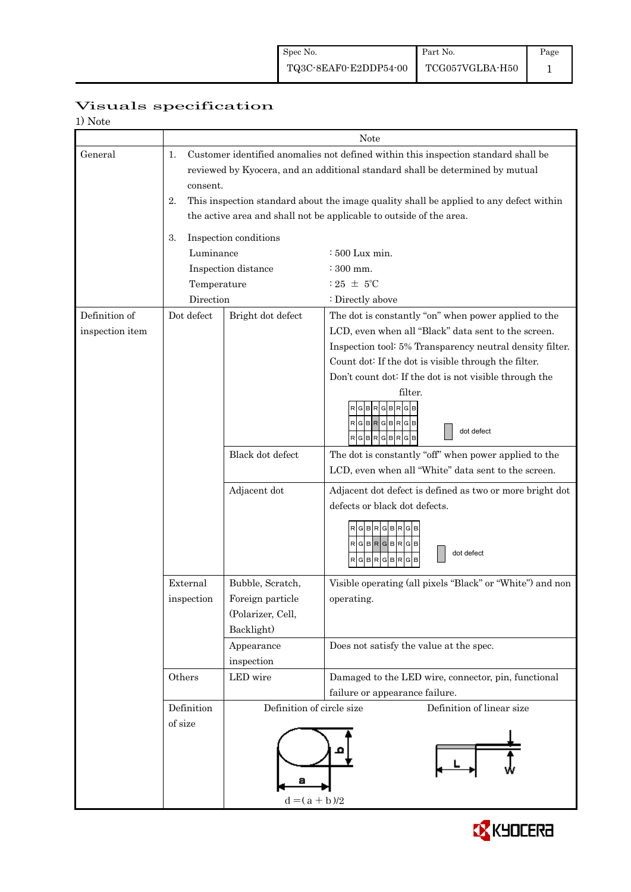|--|

| 1) Note         |                                                                                                                                                                                       |                                                        |                                                                                       |  |  |  |
|-----------------|---------------------------------------------------------------------------------------------------------------------------------------------------------------------------------------|--------------------------------------------------------|---------------------------------------------------------------------------------------|--|--|--|
|                 |                                                                                                                                                                                       | Note                                                   |                                                                                       |  |  |  |
| General         | Customer identified anomalies not defined within this inspection standard shall be<br>1.<br>reviewed by Kyocera, and an additional standard shall be determined by mutual<br>consent. |                                                        |                                                                                       |  |  |  |
|                 | 2.<br>This inspection standard about the image quality shall be applied to any defect within<br>the active area and shall not be applicable to outside of the area.                   |                                                        |                                                                                       |  |  |  |
|                 |                                                                                                                                                                                       |                                                        |                                                                                       |  |  |  |
|                 | Inspection conditions<br>3.                                                                                                                                                           |                                                        |                                                                                       |  |  |  |
|                 | Luminance                                                                                                                                                                             |                                                        | : 500 Lux min.                                                                        |  |  |  |
|                 |                                                                                                                                                                                       | Inspection distance                                    | $\div$ 300 mm.<br>$:25 \pm 5^{\circ}$ C                                               |  |  |  |
|                 | Temperature                                                                                                                                                                           |                                                        |                                                                                       |  |  |  |
| Definition of   | Direction<br>Dot defect                                                                                                                                                               |                                                        | : Directly above<br>The dot is constantly "on" when power applied to the              |  |  |  |
| inspection item |                                                                                                                                                                                       | Bright dot defect                                      | LCD, even when all "Black" data sent to the screen.                                   |  |  |  |
|                 |                                                                                                                                                                                       |                                                        | Inspection tool: 5% Transparency neutral density filter.                              |  |  |  |
|                 |                                                                                                                                                                                       |                                                        | Count dot: If the dot is visible through the filter.                                  |  |  |  |
|                 |                                                                                                                                                                                       |                                                        | Don't count dot: If the dot is not visible through the                                |  |  |  |
|                 |                                                                                                                                                                                       |                                                        | filter.                                                                               |  |  |  |
|                 |                                                                                                                                                                                       |                                                        | $G$ $B$ $R$ $G$ $B$ $R$ $G$<br>$RGBRGBRGB$<br>dot defect<br>RGBRGBRGB                 |  |  |  |
|                 |                                                                                                                                                                                       | Black dot defect                                       | The dot is constantly "off" when power applied to the                                 |  |  |  |
|                 |                                                                                                                                                                                       |                                                        | LCD, even when all "White" data sent to the screen.                                   |  |  |  |
|                 |                                                                                                                                                                                       | Adjacent dot                                           | Adjacent dot defect is defined as two or more bright dot                              |  |  |  |
|                 |                                                                                                                                                                                       |                                                        | defects or black dot defects.                                                         |  |  |  |
|                 |                                                                                                                                                                                       |                                                        | RGBRGBR<br>RGBRGBRGB<br>dot defect<br>$R$ G $B$ $R$<br>G<br>R<br>G B<br>B             |  |  |  |
|                 | External                                                                                                                                                                              | Bubble, Scratch,                                       | Visible operating (all pixels "Black" or "White") and non                             |  |  |  |
|                 | inspection                                                                                                                                                                            | Foreign particle                                       | operating.                                                                            |  |  |  |
|                 |                                                                                                                                                                                       | (Polarizer, Cell,                                      |                                                                                       |  |  |  |
|                 |                                                                                                                                                                                       | Backlight)                                             |                                                                                       |  |  |  |
|                 |                                                                                                                                                                                       | Appearance                                             | Does not satisfy the value at the spec.                                               |  |  |  |
|                 |                                                                                                                                                                                       | inspection                                             |                                                                                       |  |  |  |
|                 | Others                                                                                                                                                                                | LED wire                                               | Damaged to the LED wire, connector, pin, functional<br>failure or appearance failure. |  |  |  |
|                 | Definition                                                                                                                                                                            | Definition of linear size<br>Definition of circle size |                                                                                       |  |  |  |
|                 | of size                                                                                                                                                                               | $d = (a + b)/2$                                        |                                                                                       |  |  |  |